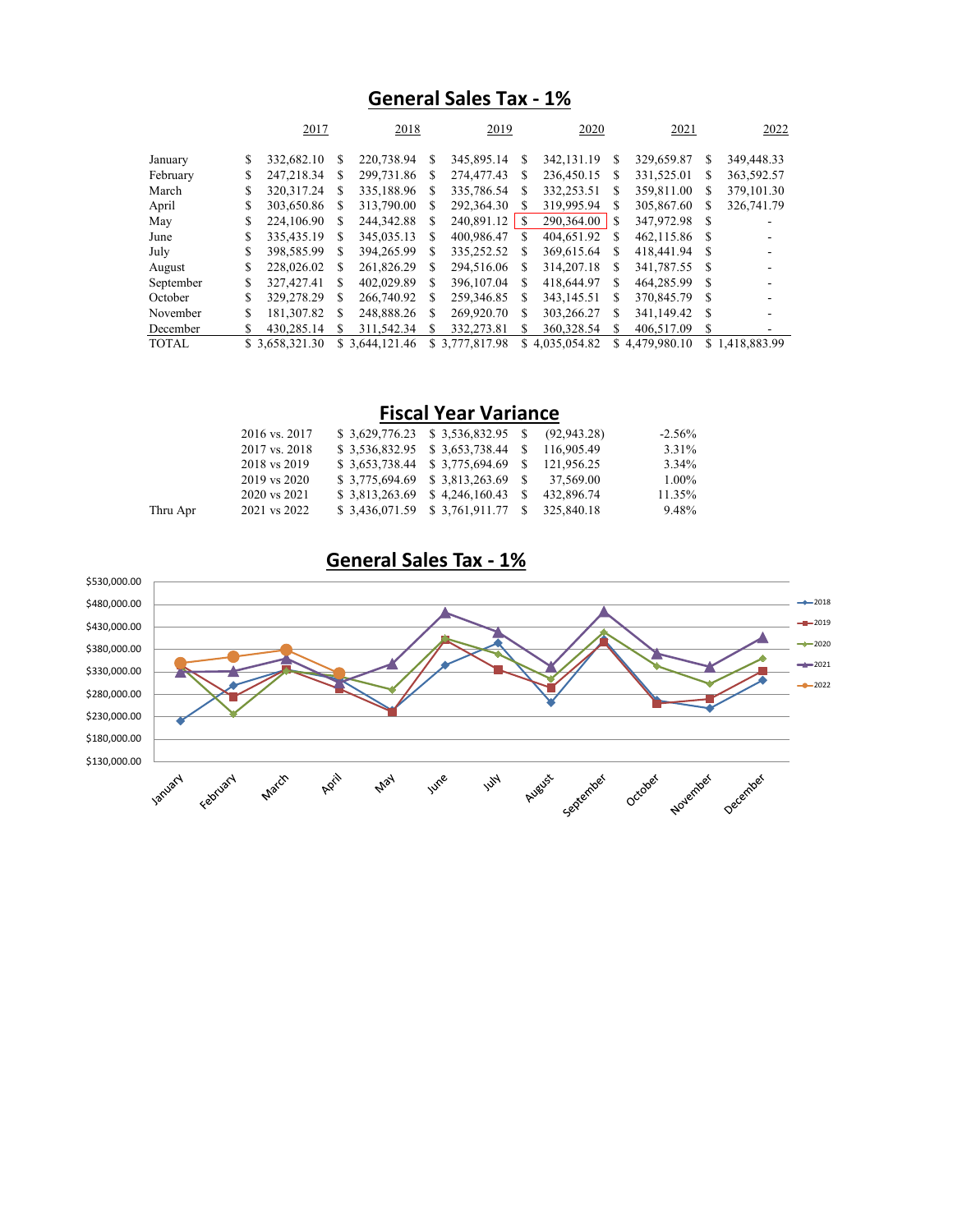## **General Sales Tax - 1%**

|              |    | 2017           |    | 2018            |    | 2019           |    | 2020         |    | 2021           |      | 2022           |
|--------------|----|----------------|----|-----------------|----|----------------|----|--------------|----|----------------|------|----------------|
| January      | S  | 332,682.10     | \$ | 220,738.94      | S  | 345,895.14     | S  | 342, 131. 19 | S  | 329,659.87     | S.   | 349,448.33     |
| February     | S  | 247.218.34     | S  | 299,731.86      | S  | 274,477.43     | S  | 236,450.15   | S  | 331,525.01     | S    | 363,592.57     |
| March        | S  | 320.317.24     | \$ | 335,188.96      | S  | 335,786.54     | S  | 332,253.51   | \$ | 359,811.00     | S    | 379, 101.30    |
| April        | S  | 303,650.86     | S  | 313,790.00      | S  | 292,364.30     |    | 319,995.94   | S  | 305,867.60     | S    | 326,741.79     |
| May          | \$ | 224,106.90     | S  | 244, 342.88     | S. | 240,891.12     | -S | 290,364.00   | S  | 347,972.98     | -S   |                |
| June         | S  | 335,435.19     | S  | 345,035.13      | S. | 400,986.47     | S  | 404,651.92   | S  | 462,115.86     | -S   |                |
| July         |    | 398,585.99     | S  | 394.265.99      | S. | 335.252.52     | S  | 369.615.64   | S  | 418,441.94     |      |                |
| August       | S  | 228,026.02     | S  | 261,826.29      | S  | 294,516.06     | S  | 314, 207. 18 | S  | 341,787.55     | - \$ |                |
| September    | S  | 327,427.41     | S  | 402,029.89      | S. | 396,107.04     | S  | 418,644.97   | S  | 464,285.99     | £.   |                |
| October      | S  | 329,278.29     | S  | 266,740.92      | S. | 259,346.85     | S  | 343,145.51   | \$ | 370,845.79     | - S  |                |
| November     | S  | 181,307.82     | S  | 248,888.26      | S  | 269,920.70     | S  | 303.266.27   | S  | 341,149.42     | - \$ |                |
| December     | S  | 430,285.14     | S  | 311.542.34      | S  | 332,273.81     | S  | 360,328.54   | S  | 406,517.09     | S    |                |
| <b>TOTAL</b> |    | \$3,658,321.30 |    | \$ 3,644,121.46 |    | \$3,777,817.98 | \$ | 4.035.054.82 |    | \$4,479,980.10 |      | \$1.418.883.99 |

|          | 2016 vs. 2017 | $$3,629,776.23 \quad $3,536,832.95 \quad $8 \quad (92,943.28)$ |            | $-2.56%$ |
|----------|---------------|----------------------------------------------------------------|------------|----------|
|          | 2017 vs. 2018 | \$3,536,832.95 \$3,653,738.44 \$116,905.49                     |            | 3.31%    |
|          | 2018 vs 2019  | \$ 3,653,738.44 \$ 3,775,694.69 \$ 121,956.25                  |            | 3.34%    |
|          | 2019 vs 2020  | $$3,775,694.69$ $$3,813,263.69$ $$37,569.00$                   |            | 1.00%    |
|          | 2020 vs 2021  | $$3,813,263.69 \quad $4,246,160.43 \quad $$                    | 432,896.74 | 11.35%   |
| Thru Apr | 2021 vs 2022  | \$3,436,071.59 \$3,761,911.77 \$325,840.18                     |            | 9.48%    |

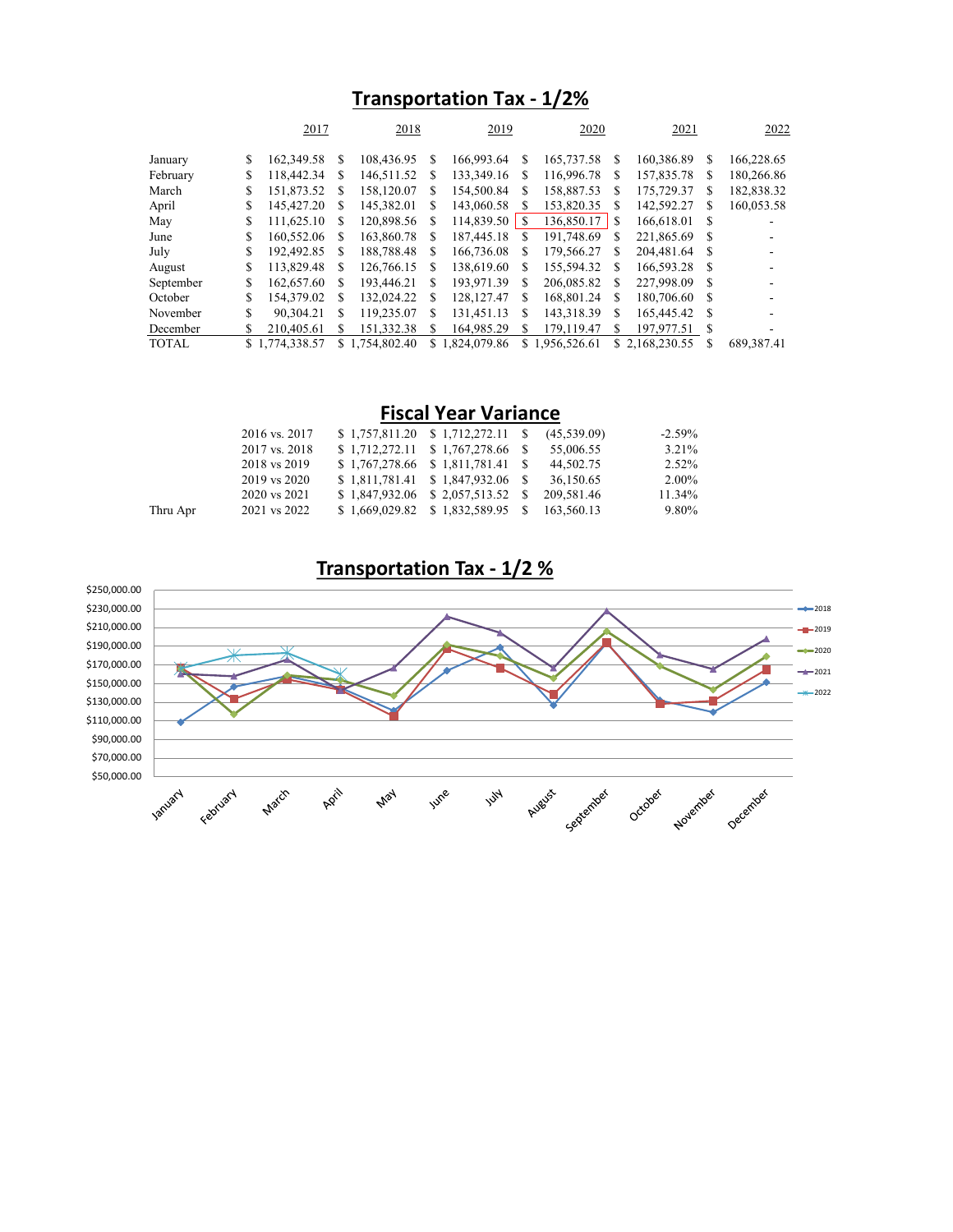## **Transportation Tax - 1/2%**

|              |    | 2017         |    | 2018           |    | 2019         |    | 2020         |   | 2021           |    | 2022       |
|--------------|----|--------------|----|----------------|----|--------------|----|--------------|---|----------------|----|------------|
| January      | \$ | 162,349.58   | S  | 108,436.95     | S  | 166,993.64   | S  | 165,737.58   | S | 160,386.89     | S  | 166,228.65 |
| February     | S  | 118,442.34   | S  | 146,511.52     | S  | 133,349.16   | S  | 116,996.78   | S | 157,835.78     | S. | 180,266.86 |
| March        | S  | 151,873.52   | S  | 158,120.07     | S  | 154,500.84   | S  | 158,887.53   | S | 175,729.37     | S  | 182,838.32 |
| April        | S  | 145,427.20   | S  | 145,382.01     | S  | 143,060.58   | S  | 153,820.35   | S | 142,592.27     | S  | 160,053.58 |
| May          | \$ | 111,625.10   | \$ | 120,898.56     | S  | 114,839.50   | -S | 136,850.17   | S | 166,618.01     | -S |            |
| June         | S  | 160,552.06   | S  | 163,860.78     | S  | 187,445.18   | S  | 191,748.69   | S | 221,865.69     | -S |            |
| July         | \$ | 192,492.85   | S  | 188,788.48     | S  | 166,736.08   | S  | 179,566.27   | S | 204,481.64     | -8 |            |
| August       | S  | 113,829.48   | S  | 126,766.15     | S  | 138,619.60   | S  | 155,594.32   | S | 166,593.28 \$  |    |            |
| September    | S  | 162,657.60   | S  | 193,446.21     | S. | 193.971.39   | S  | 206,085.82   | S | 227,998.09     | -S |            |
| October      | S  | 154,379.02   | \$ | 132,024.22     | S  | 128, 127. 47 | S  | 168,801.24   | S | 180,706.60     | -S |            |
| November     | \$ | 90.304.21    | \$ | 119,235.07     | S  | 131.451.13   | S  | 143,318.39   | S | 165,445.42     | -S |            |
| December     | \$ | 210,405.61   | S  | 151,332.38     | S  | 164,985.29   | S  | 179.119.47   | S | 197,977.51     | -S |            |
| <b>TOTAL</b> | S. | 1,774,338.57 |    | \$1.754,802.40 | S. | 1.824.079.86 | S  | 1.956.526.61 |   | \$2.168,230.55 | S  | 689.387.41 |

| 3.21%    |
|----------|
| 2.52%    |
| $2.00\%$ |
| 11.34%   |
| 9.80%    |
|          |

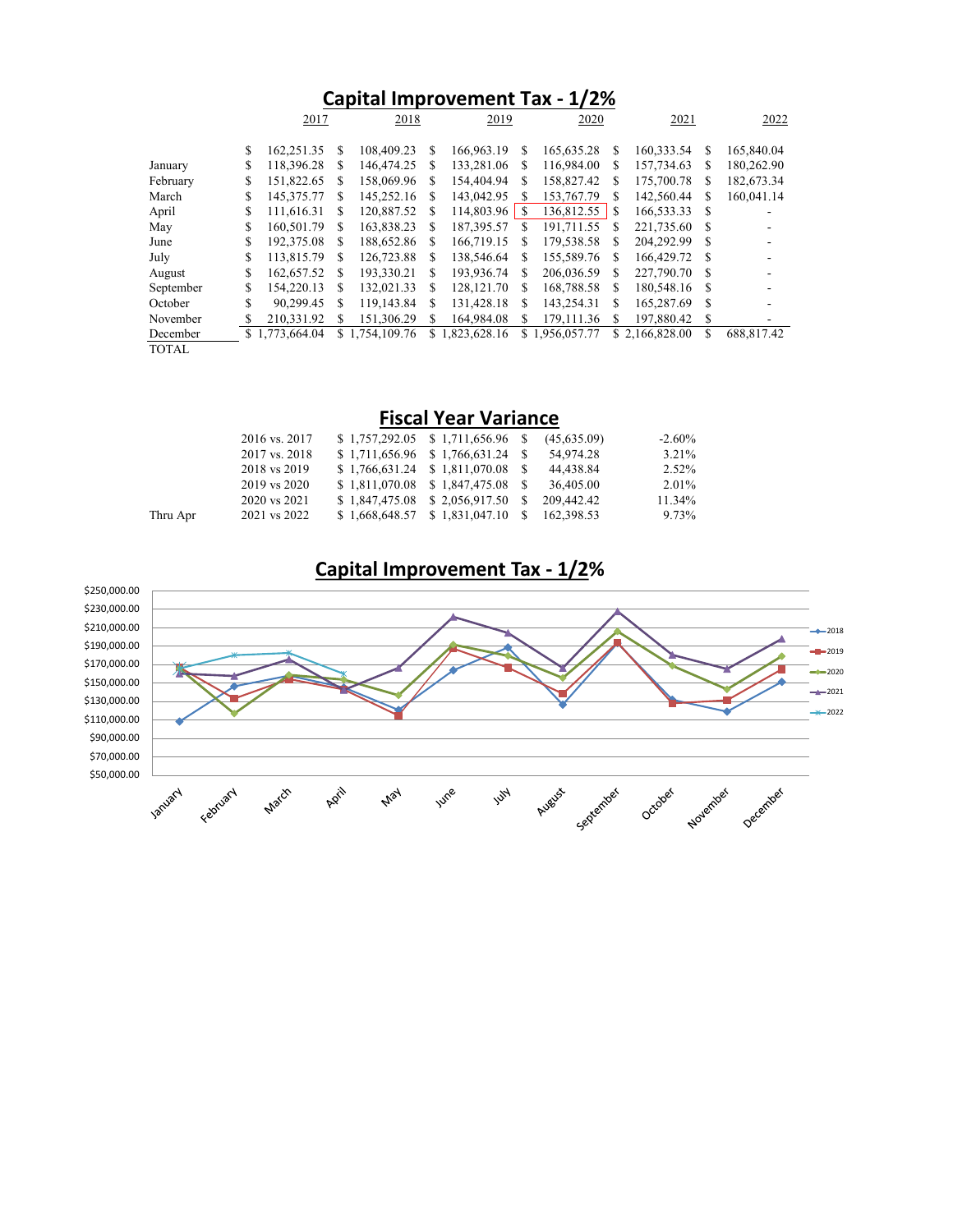| Capital Improvement Tax - 1/2% |          |                          |          |                          |        |                          |        |                          |         |                          |        |                          |
|--------------------------------|----------|--------------------------|----------|--------------------------|--------|--------------------------|--------|--------------------------|---------|--------------------------|--------|--------------------------|
|                                |          | 2017                     |          | 2018                     |        |                          | 2019   |                          | 2020    |                          |        | 2022                     |
|                                | \$       | 162,251.35               | S        | 108,409.23<br>146,474.25 | S      | 166,963.19               | S      | 165,635.28               | S       | 160,333.54<br>157,734.63 | S      | 165,840.04               |
| January<br>February            | \$<br>\$ | 118,396.28<br>151,822.65 | \$<br>\$ | 158,069.96               | S<br>S | 133,281.06<br>154,404.94 | S<br>S | 116,984.00<br>158,827.42 | \$<br>S | 175,700.78               | S<br>S | 180,262.90<br>182,673.34 |
| March                          | \$       | 145,375.77               | S        | 145,252.16               | S      | 143,042.95               | S      | 153,767.79               | S       | 142,560.44               | S      | 160,041.14               |
| April                          | \$       | 111,616.31               | S        | 120,887.52               | S      | 114,803.96               | S.     | 136,812.55               | \$      | 166,533.33               | S      |                          |
| May                            | \$       | 160,501.79               | S        | 163,838.23               | S      | 187,395.57               | S      | 191.711.55               | S       | 221,735.60               | S      |                          |
| June                           | \$       | 192,375.08               | S        | 188,652.86               | S      | 166,719.15               | S      | 179,538.58               | S       | 204.292.99               | S      |                          |
| July                           | S        | 113,815.79               | S        | 126,723.88               | S      | 138,546.64               | S      | 155,589.76               | S       | 166,429.72               | S      |                          |
| August                         | \$       | 162,657.52               | S        | 193.330.21               | S      | 193,936.74               | S      | 206,036.59               | S       | 227,790.70               | S      |                          |
| September                      | \$       | 154,220.13               | S        | 132,021.33               | S      | 128, 121.70              | S      | 168,788.58               | S       | 180,548.16               | S      |                          |
| October                        | S        | 90.299.45                | S        | 119,143.84               | S      | 131.428.18               | S      | 143.254.31               | \$      | 165,287.69               | S      |                          |
| November                       |          | 210.331.92               | S        | 151,306.29               | S      | 164,984.08               | S.     | 179.111.36               | S       | 197,880.42               | S      |                          |
| December                       | S.       | 1,773,664.04             |          | \$1,754,109.76           | S.     | 1,823,628.16             | S.     | 1,956,057.77             |         | \$2,166,828.00           | S      | 688,817.42               |
| <b>TOTAL</b>                   |          |                          |          |                          |        |                          |        |                          |         |                          |        |                          |

|          | 2016 vs. 2017<br>2017 vs. 2018<br>2018 vs 2019<br>2019 vs 2020 | $$1,757,292.05 \quad $1,711,656.96 \quad $$<br>$$1,711,656.96 \quad $1,766,631.24 \quad $$<br>$$1,766,631.24 \quad $1,811,070.08 \quad $$<br>$$1,811,070.08 \quad $1,847,475.08 \quad $$ |     | (45,635.09)<br>54,974.28<br>44,438.84<br>36,405.00 | $-2.60\%$<br>3.21%<br>2.52%<br>2.01% |
|----------|----------------------------------------------------------------|------------------------------------------------------------------------------------------------------------------------------------------------------------------------------------------|-----|----------------------------------------------------|--------------------------------------|
|          | 2020 vs 2021                                                   | $$1,847,475.08 \quad $2,056,917.50 \quad $$                                                                                                                                              |     | 209,442.42                                         | 11.34%                               |
| Thru Apr | 2021 vs 2022                                                   | $$1,668,648.57 \quad $1,831,047.10$                                                                                                                                                      | - S | 162,398.53                                         | 9.73%                                |